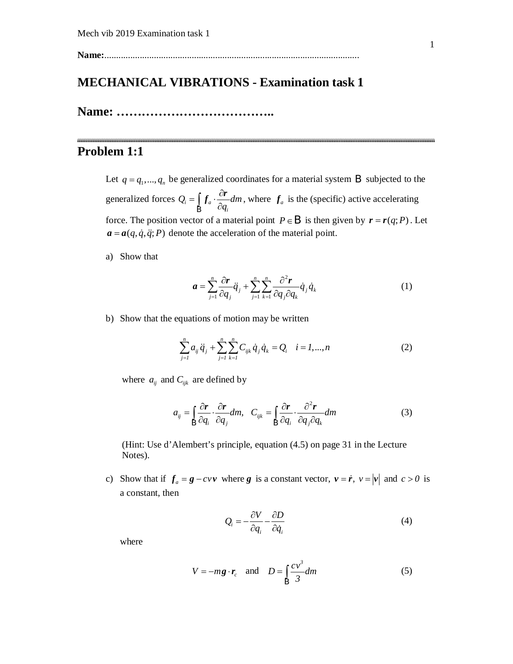**Name:**............................................................................................................

## **MECHANICAL VIBRATIONS - Examination task 1**

**Name: ………………………………..**

## **Problem 1:1**

Let  $q = q_1, ..., q_n$  be generalized coordinates for a material system B subjected to the generalized forces  $Q_i = |f_a|$ *i*  $Q_i = \int_a \cdot \frac{d}{dx} dm$ *q*  $=\int f_a \cdot \frac{\partial}{\partial x}$  $\int_{\mathsf{R}} f_a \cdot \frac{\partial r}{\partial q}$ B , where  $f_a$  is the (specific) active accelerating force. The position vector of a material point  $P \in B$  is then given by  $r = r(q; P)$ . Let  $a = a(q, \dot{q}, \ddot{q}; P)$  denote the acceleration of the material point.

a) Show that

$$
\boldsymbol{a} = \sum_{j=1}^{n} \frac{\partial \boldsymbol{r}}{\partial q_j} \ddot{q}_j + \sum_{j=1}^{n} \sum_{k=1}^{n} \frac{\partial^2 \boldsymbol{r}}{\partial q_j \partial q_k} \dot{q}_j \dot{q}_k
$$
(1)

b) Show that the equations of motion may be written

$$
\sum_{j=1}^{n} a_{ij} \ddot{q}_j + \sum_{j=1}^{n} \sum_{k=1}^{n} C_{ijk} \dot{q}_j \dot{q}_k = Q_i \quad i = 1, ..., n
$$
 (2)

where  $a_{ij}$  and  $C_{ijk}$  are defined by

$$
a_{ij} = \int_{\mathcal{B}} \frac{\partial \mathbf{r}}{\partial q_i} \cdot \frac{\partial \mathbf{r}}{\partial q_j} dm, \quad C_{ijk} = \int_{\mathcal{B}} \frac{\partial \mathbf{r}}{\partial q_i} \cdot \frac{\partial^2 \mathbf{r}}{\partial q_j \partial q_k} dm \tag{3}
$$

(Hint: Use d'Alembert's principle, equation (4.5) on page 31 in the Lecture Notes).

c) Show that if  $f_a = g - cvv$  where *g* is a constant vector,  $v = \dot{r}$ ,  $v = |v|$  and  $c > 0$  is a constant, then

$$
Q_i = -\frac{\partial V}{\partial q_i} - \frac{\partial D}{\partial \dot{q}_i} \tag{4}
$$

where

$$
V = -mg \cdot r_c \quad \text{and} \quad D = \int_{\mathcal{B}} \frac{cv^3}{3} dm \tag{5}
$$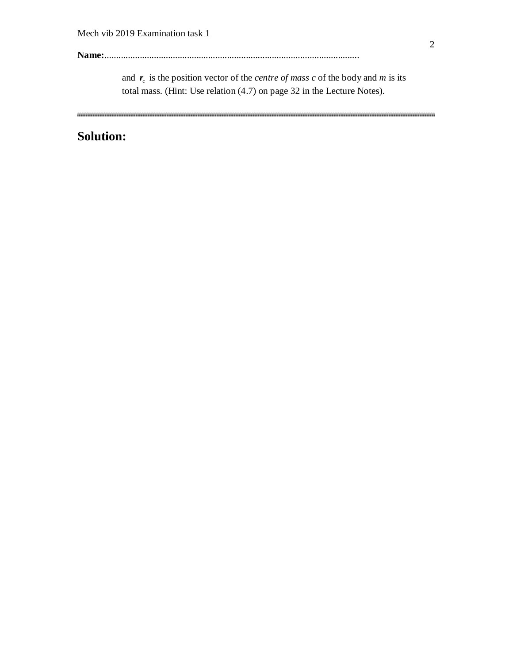**Name:**............................................................................................................

and  $r_c$  is the position vector of the *centre of mass c* of the body and *m* is its total mass. (Hint: Use relation (4.7) on page 32 in the Lecture Notes).

# **Solution:**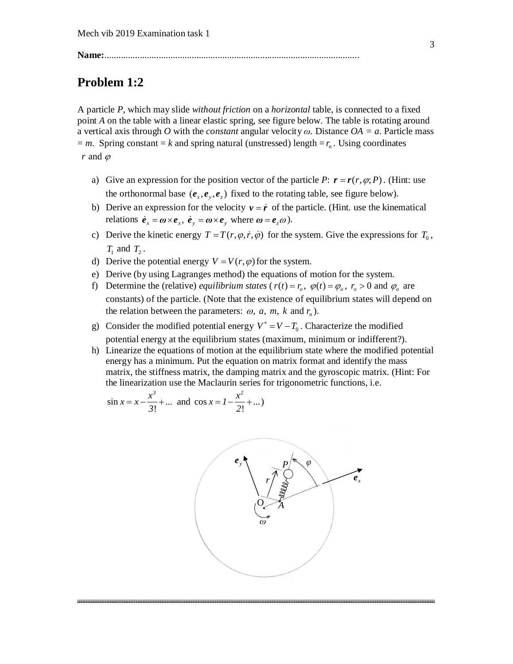**Name:**............................................................................................................

### **Problem 1:2**

A particle *P*, which may slide *without friction* on a *horizontal* table, is connected to a fixed point *A* on the table with a linear elastic spring, see figure below. The table is rotating around a vertical axis through *O* with the *constant* angular velocity *ω.* Distance *OA = a*. Particle mass  $=$  *m*. Spring constant  $=$  *k* and spring natural (unstressed) length  $=$  *r*<sub>n</sub>. Using coordinates  $r$  and  $\varphi$ 

- a) Give an expression for the position vector of the particle *P*:  $\mathbf{r} = \mathbf{r}(r, \varphi; P)$ . (Hint: use the orthonormal base  $(e_x, e_y, e_z)$  fixed to the rotating table, see figure below).
- b) Derive an expression for the velocity  $v = \dot{r}$  of the particle. (Hint. use the kinematical relations  $\dot{\mathbf{e}}_x = \boldsymbol{\omega} \times \mathbf{e}_x$ ,  $\dot{\mathbf{e}}_y = \boldsymbol{\omega} \times \mathbf{e}_y$  where  $\boldsymbol{\omega} = \mathbf{e}_z \boldsymbol{\omega}$ ).
- c) Derive the kinetic energy  $T = T(r, \varphi, \dot{r}, \dot{\varphi})$  for the system. Give the expressions for  $T_0$ ,  $T_1$  and  $T_2$ .
- d) Derive the potential energy  $V = V(r, \varphi)$  for the system.
- e) Derive (by using Lagranges method) the equations of motion for the system.
- f) Determine the (relative) *equilibrium states* ( $r(t) = r_a$ ,  $\varphi(t) = \varphi_a$ ,  $r_a > 0$  and  $\varphi_a$  are constants) of the particle. (Note that the existence of equilibrium states will depend on the relation between the parameters:  $\omega$ ,  $a$ ,  $m$ ,  $k$  and  $r<sub>n</sub>$ ).
- g) Consider the modified potential energy  $V^* = V T_0$ . Characterize the modified potential energy at the equilibrium states (maximum, minimum or indifferent?).
- h) Linearize the equations of motion at the equilibrium state where the modified potential energy has a minimum. Put the equation on matrix format and identify the mass matrix, the stiffness matrix, the damping matrix and the gyroscopic matrix. (Hint: For the linearization use the Maclaurin series for trigonometric functions, i.e.

$$
\sin x = x - \frac{x^3}{3!} + \dots
$$
 and  $\cos x = 1 - \frac{x^2}{2!} + \dots$ 

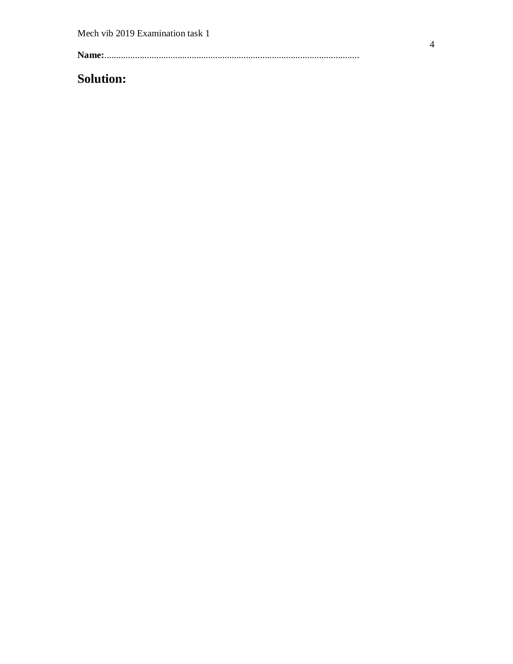# **Solution:**